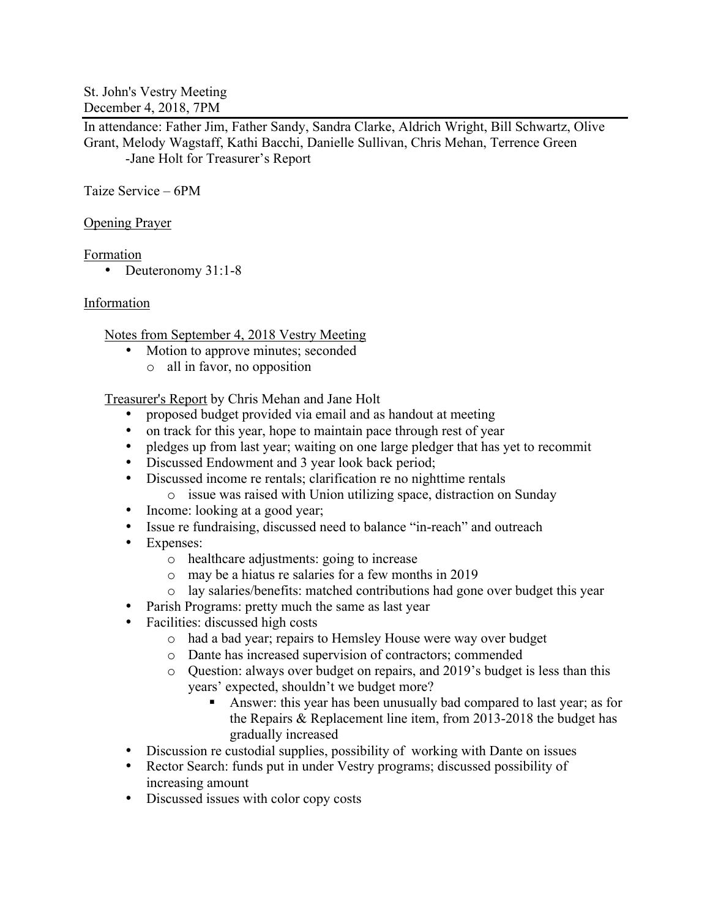St. John's Vestry Meeting December 4, 2018, 7PM

In attendance: Father Jim, Father Sandy, Sandra Clarke, Aldrich Wright, Bill Schwartz, Olive Grant, Melody Wagstaff, Kathi Bacchi, Danielle Sullivan, Chris Mehan, Terrence Green -Jane Holt for Treasurer's Report

Taize Service – 6PM

Opening Prayer

Formation

• Deuteronomy 31:1-8

## Information

Notes from September 4, 2018 Vestry Meeting

- Motion to approve minutes; seconded
	- o all in favor, no opposition

Treasurer's Report by Chris Mehan and Jane Holt

- proposed budget provided via email and as handout at meeting
- on track for this year, hope to maintain pace through rest of year
- pledges up from last year; waiting on one large pledger that has yet to recommit
- Discussed Endowment and 3 year look back period;
- Discussed income re rentals; clarification re no nighttime rentals o issue was raised with Union utilizing space, distraction on Sunday
- Income: looking at a good year;
- Issue re fundraising, discussed need to balance "in-reach" and outreach
- Expenses:
	- o healthcare adjustments: going to increase
	- o may be a hiatus re salaries for a few months in 2019
	- o lay salaries/benefits: matched contributions had gone over budget this year
- Parish Programs: pretty much the same as last year
- Facilities: discussed high costs
	- o had a bad year; repairs to Hemsley House were way over budget
	- o Dante has increased supervision of contractors; commended
	- o Question: always over budget on repairs, and 2019's budget is less than this years' expected, shouldn't we budget more?
		- ! Answer: this year has been unusually bad compared to last year; as for the Repairs & Replacement line item, from 2013-2018 the budget has gradually increased
- Discussion re custodial supplies, possibility of working with Dante on issues
- Rector Search: funds put in under Vestry programs; discussed possibility of increasing amount
- Discussed issues with color copy costs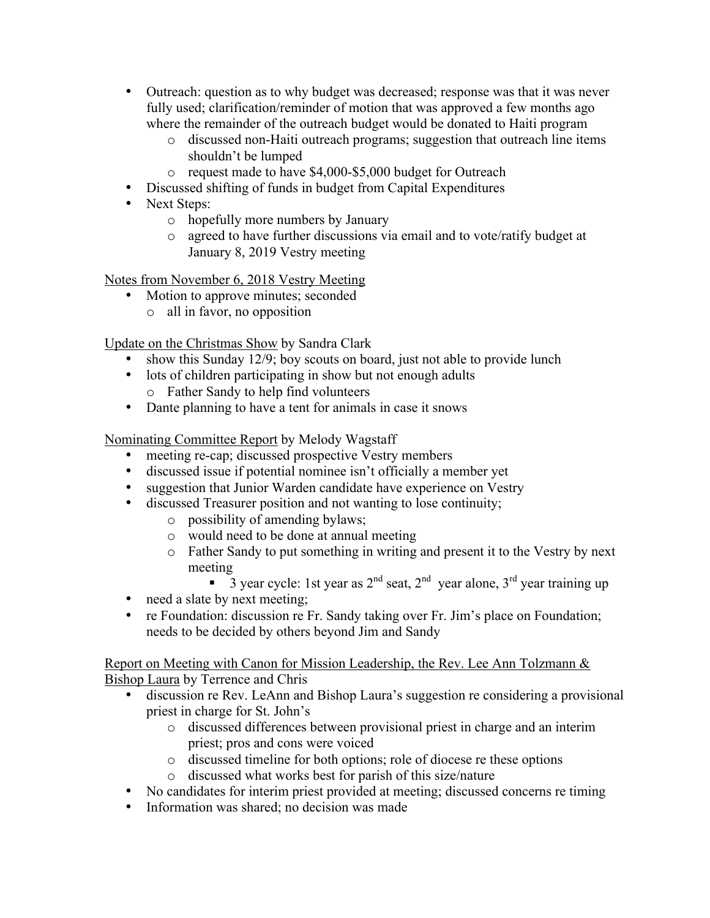- Outreach: question as to why budget was decreased; response was that it was never fully used; clarification/reminder of motion that was approved a few months ago where the remainder of the outreach budget would be donated to Haiti program
	- o discussed non-Haiti outreach programs; suggestion that outreach line items shouldn't be lumped
	- o request made to have \$4,000-\$5,000 budget for Outreach
- Discussed shifting of funds in budget from Capital Expenditures
- Next Steps:
	- o hopefully more numbers by January
	- o agreed to have further discussions via email and to vote/ratify budget at January 8, 2019 Vestry meeting

Notes from November 6, 2018 Vestry Meeting

- Motion to approve minutes; seconded
	- o all in favor, no opposition

Update on the Christmas Show by Sandra Clark

- show this Sunday 12/9; boy scouts on board, just not able to provide lunch
- lots of children participating in show but not enough adults
	- o Father Sandy to help find volunteers
- Dante planning to have a tent for animals in case it snows

Nominating Committee Report by Melody Wagstaff

- meeting re-cap; discussed prospective Vestry members
- discussed issue if potential nominee isn't officially a member yet
- suggestion that Junior Warden candidate have experience on Vestry
- discussed Treasurer position and not wanting to lose continuity;
	- o possibility of amending bylaws;
	- o would need to be done at annual meeting
	- o Father Sandy to put something in writing and present it to the Vestry by next meeting
		- $\overline{3}$  year cycle: 1st year as 2<sup>nd</sup> seat, 2<sup>nd</sup> year alone, 3<sup>rd</sup> year training up
- need a slate by next meeting;
- re Foundation: discussion re Fr. Sandy taking over Fr. Jim's place on Foundation; needs to be decided by others beyond Jim and Sandy

Report on Meeting with Canon for Mission Leadership, the Rev. Lee Ann Tolzmann & Bishop Laura by Terrence and Chris

- discussion re Rev. LeAnn and Bishop Laura's suggestion re considering a provisional priest in charge for St. John's
	- o discussed differences between provisional priest in charge and an interim priest; pros and cons were voiced
	- o discussed timeline for both options; role of diocese re these options
	- o discussed what works best for parish of this size/nature
- No candidates for interim priest provided at meeting; discussed concerns re timing
- Information was shared; no decision was made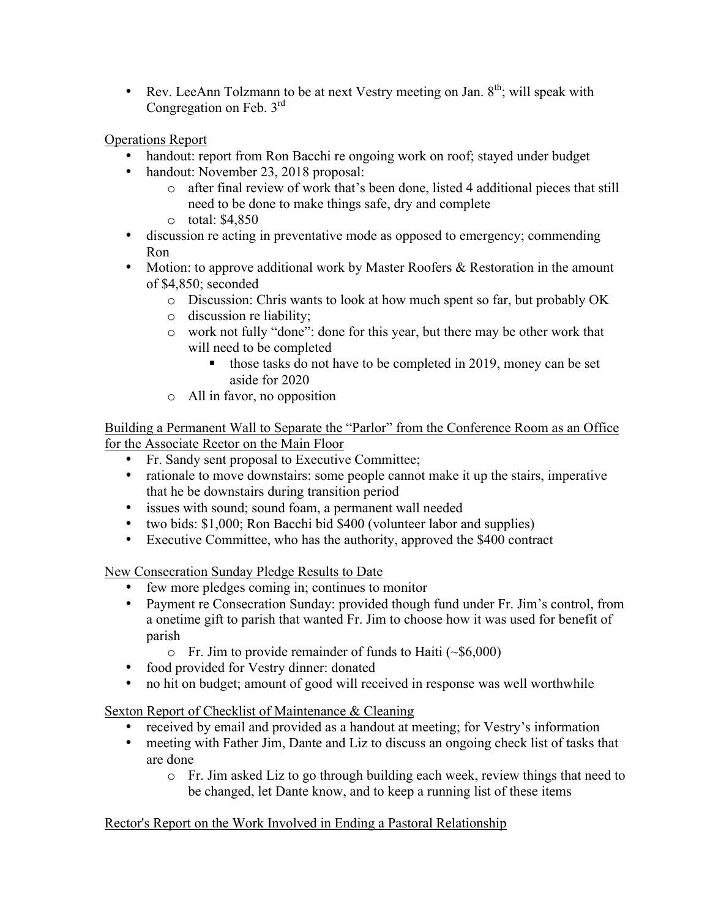• Rev. LeeAnn Tolzmann to be at next Vestry meeting on Jan.  $8<sup>th</sup>$ ; will speak with Congregation on Feb.  $3<sup>rd</sup>$ 

# Operations Report

- handout: report from Ron Bacchi re ongoing work on roof; stayed under budget
- handout: November 23, 2018 proposal:
	- o after final review of work that's been done, listed 4 additional pieces that still need to be done to make things safe, dry and complete
	- o total: \$4,850
- discussion re acting in preventative mode as opposed to emergency; commending Ron
- Motion: to approve additional work by Master Roofers & Restoration in the amount of \$4,850; seconded
	- o Discussion: Chris wants to look at how much spent so far, but probably OK
	- o discussion re liability;
	- o work not fully "done": done for this year, but there may be other work that will need to be completed
		- ! those tasks do not have to be completed in 2019, money can be set aside for 2020
	- o All in favor, no opposition

Building a Permanent Wall to Separate the "Parlor" from the Conference Room as an Office for the Associate Rector on the Main Floor

- Fr. Sandy sent proposal to Executive Committee;
- rationale to move downstairs: some people cannot make it up the stairs, imperative that he be downstairs during transition period
- issues with sound; sound foam, a permanent wall needed
- two bids: \$1,000; Ron Bacchi bid \$400 (volunteer labor and supplies)
- Executive Committee, who has the authority, approved the \$400 contract

New Consecration Sunday Pledge Results to Date

- few more pledges coming in; continues to monitor
- Payment re Consecration Sunday: provided though fund under Fr. Jim's control, from a onetime gift to parish that wanted Fr. Jim to choose how it was used for benefit of parish
	- $\circ$  Fr. Jim to provide remainder of funds to Haiti ( $\sim$ \$6,000)
- food provided for Vestry dinner: donated
- no hit on budget; amount of good will received in response was well worthwhile

Sexton Report of Checklist of Maintenance & Cleaning

- received by email and provided as a handout at meeting; for Vestry's information
- meeting with Father Jim, Dante and Liz to discuss an ongoing check list of tasks that are done
	- o Fr. Jim asked Liz to go through building each week, review things that need to be changed, let Dante know, and to keep a running list of these items

# Rector's Report on the Work Involved in Ending a Pastoral Relationship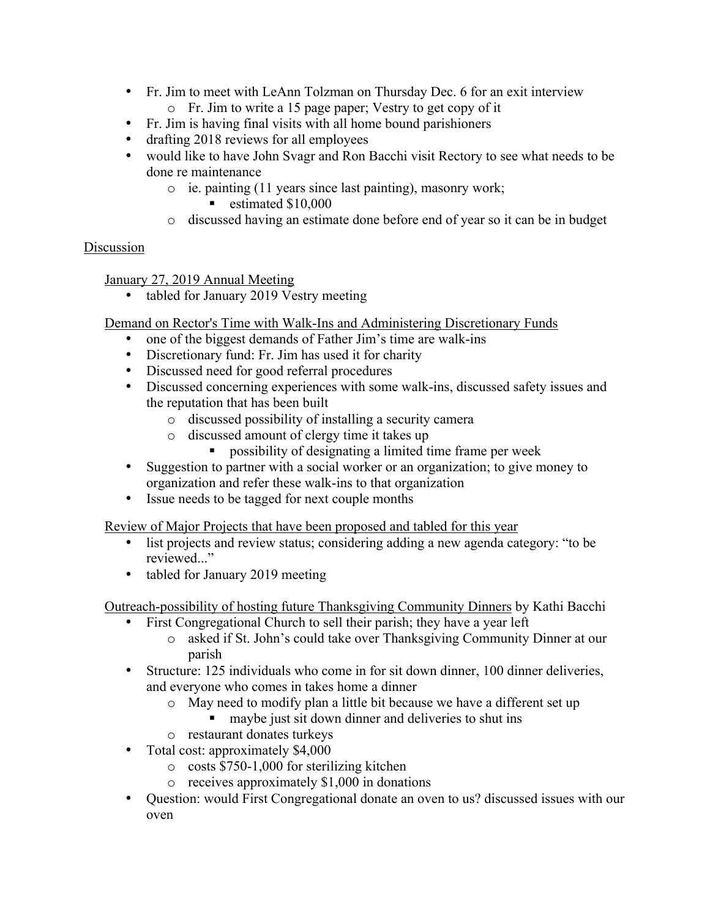- Fr. Jim to meet with LeAnn Tolzman on Thursday Dec. 6 for an exit interview o Fr. Jim to write a 15 page paper; Vestry to get copy of it
- Fr. Jim is having final visits with all home bound parishioners
- drafting 2018 reviews for all employees
- would like to have John Svagr and Ron Bacchi visit Rectory to see what needs to be done re maintenance
	- o ie. painting (11 years since last painting), masonry work;
		- estimated \$10,000
	- o discussed having an estimate done before end of year so it can be in budget

## Discussion

January 27, 2019 Annual Meeting

• tabled for January 2019 Vestry meeting

Demand on Rector's Time with Walk-Ins and Administering Discretionary Funds

- one of the biggest demands of Father Jim's time are walk-ins
- Discretionary fund: Fr. Jim has used it for charity
- Discussed need for good referral procedures
- Discussed concerning experiences with some walk-ins, discussed safety issues and the reputation that has been built
	- o discussed possibility of installing a security camera
	- o discussed amount of clergy time it takes up
		- ! possibility of designating a limited time frame per week
- Suggestion to partner with a social worker or an organization; to give money to organization and refer these walk-ins to that organization
- Issue needs to be tagged for next couple months

Review of Major Projects that have been proposed and tabled for this year

- list projects and review status; considering adding a new agenda category: "to be reviewed..."
- tabled for January 2019 meeting

Outreach-possibility of hosting future Thanksgiving Community Dinners by Kathi Bacchi

- First Congregational Church to sell their parish; they have a year left
	- o asked if St. John's could take over Thanksgiving Community Dinner at our parish
- Structure: 125 individuals who come in for sit down dinner, 100 dinner deliveries, and everyone who comes in takes home a dinner
	- o May need to modify plan a little bit because we have a different set up
		- ! maybe just sit down dinner and deliveries to shut ins
	- o restaurant donates turkeys
- Total cost: approximately \$4,000
	- o costs \$750-1,000 for sterilizing kitchen
	- o receives approximately \$1,000 in donations
- Question: would First Congregational donate an oven to us? discussed issues with our oven